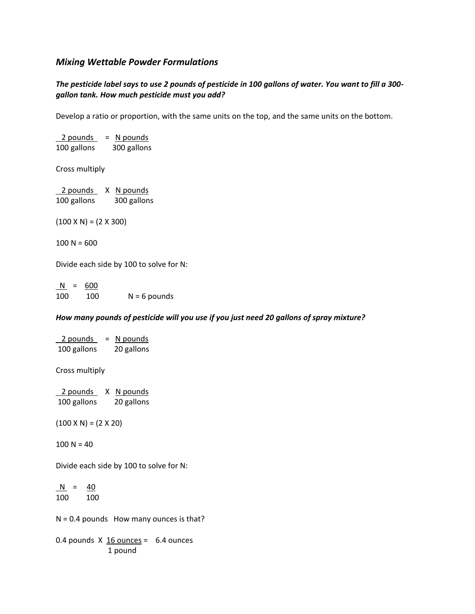# *Mixing Wettable Powder Formulations*

## *The pesticide label says to use 2 pounds of pesticide in 100 gallons of water. You want to fill a 300 gallon tank. How much pesticide must you add?*

Develop a ratio or proportion, with the same units on the top, and the same units on the bottom.

| $2$ pounds $=$ N pounds           |             |
|-----------------------------------|-------------|
| 100 gallons                       | 300 gallons |
| Cross multiply                    |             |
| 2 pounds X N pounds               |             |
| 100 gallons                       | 300 gallons |
|                                   |             |
| $(100 \times N) = (2 \times 300)$ |             |
|                                   |             |
| $100 N = 600$                     |             |

Divide each side by 100 to solve for N:

 N = 600 100 100 N = 6 pounds

#### *How many pounds of pesticide will you use if you just need 20 gallons of spray mixture?*

| $\frac{2 \text{ pounds}}{2 \text{ pounds}}$ = N pounds |  |
|--------------------------------------------------------|--|
| 100 gallons 20 gallons                                 |  |
| Cross multiply                                         |  |
| 2 pounds X N pounds                                    |  |
| 100 gallons 20 gallons                                 |  |
|                                                        |  |
| $(100 \times N) = (2 \times 20)$                       |  |
| $100 N = 40$                                           |  |
| Divide each side by 100 to solve for N:                |  |
| $N = 40$                                               |  |
| 100 100                                                |  |
| $N = 0.4$ pounds How many ounces is that?              |  |
| 0.4 pounds $X$ 16 ounces = 6.4 ounces<br>1 pound       |  |
|                                                        |  |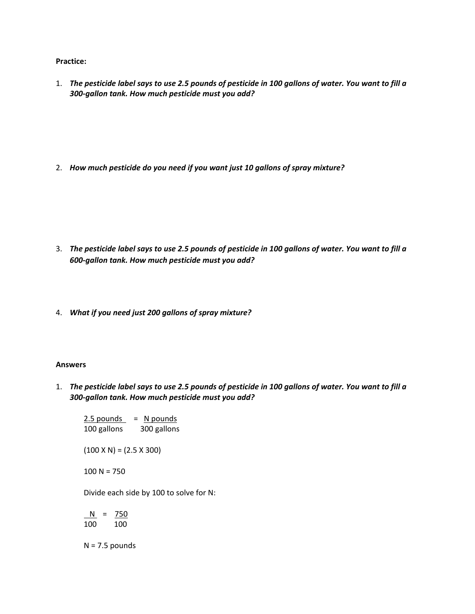**Practice:**

1. *The pesticide label says to use 2.5 pounds of pesticide in 100 gallons of water. You want to fill a 300-gallon tank. How much pesticide must you add?*

2. *How much pesticide do you need if you want just 10 gallons of spray mixture?*

- 3. *The pesticide label says to use 2.5 pounds of pesticide in 100 gallons of water. You want to fill a 600-gallon tank. How much pesticide must you add?*
- 4. *What if you need just 200 gallons of spray mixture?*

#### **Answers**

1. *The pesticide label says to use 2.5 pounds of pesticide in 100 gallons of water. You want to fill a 300-gallon tank. How much pesticide must you add?*

 $2.5$  pounds = N pounds 100 gallons 300 gallons

 $(100 \times N) = (2.5 \times 300)$ 

100 N = 750

Divide each side by 100 to solve for N:

 $N = 750$ 100 100

 $N = 7.5$  pounds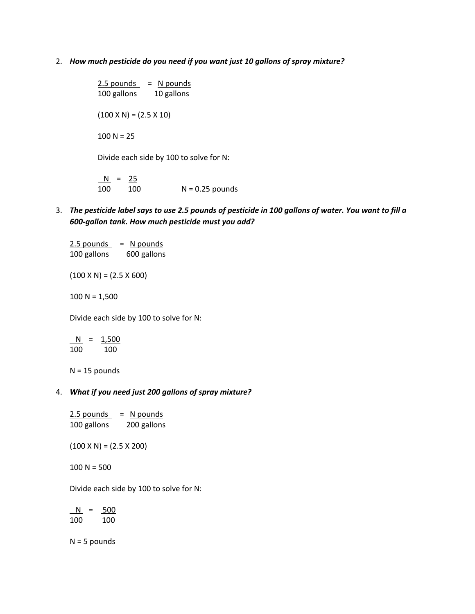2. *How much pesticide do you need if you want just 10 gallons of spray mixture?*

 $2.5$  pounds = N pounds 100 gallons 10 gallons  $(100 \times N) = (2.5 \times 10)$  $100 N = 25$ Divide each side by 100 to solve for N:  $N = 25$ 

100 100 N = 0.25 pounds

3. *The pesticide label says to use 2.5 pounds of pesticide in 100 gallons of water. You want to fill a 600-gallon tank. How much pesticide must you add?*

 $2.5$  pounds = N pounds 100 gallons 600 gallons

 $(100 \times N) = (2.5 \times 600)$ 

 $100 N = 1,500$ 

Divide each side by 100 to solve for N:

$$
\frac{N}{100} = \frac{1,500}{100}
$$

 $N = 15$  pounds

### 4. *What if you need just 200 gallons of spray mixture?*

| 2.5 pounds  | N pounds<br>$=$ |
|-------------|-----------------|
| 100 gallons | 200 gallons     |

 $(100 \times N) = (2.5 \times 200)$ 

 $100 N = 500$ 

Divide each side by 100 to solve for N:

 $N = 500$ 100 100

 $N = 5$  pounds